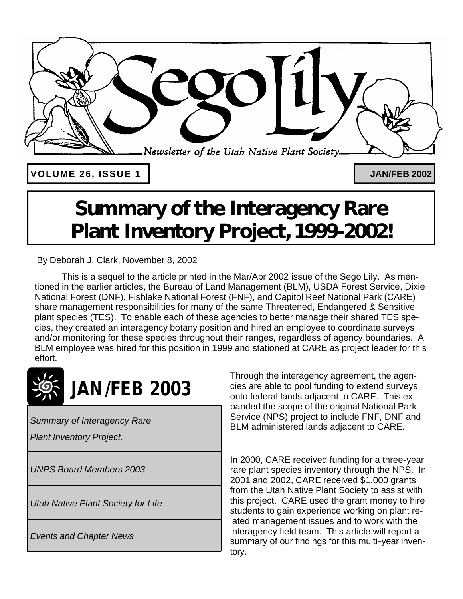

**VOLUME 26, ISSUE 1 JAN/FEB 2002**

## **Summary of the Interagency Rare Plant Inventory Project, 1999-2002!**

By Deborah J. Clark, November 8, 2002

This is a sequel to the article printed in the Mar/Apr 2002 issue of the Sego Lily. As mentioned in the earlier articles, the Bureau of Land Management (BLM), USDA Forest Service, Dixie National Forest (DNF), Fishlake National Forest (FNF), and Capitol Reef National Park (CARE) share management responsibilities for many of the same Threatened, Endangered & Sensitive plant species (TES). To enable each of these agencies to better manage their shared TES species, they created an interagency botany position and hired an employee to coordinate surveys and/or monitoring for these species throughout their ranges, regardless of agency boundaries. A BLM employee was hired for this position in 1999 and stationed at CARE as project leader for this effort.



*Summary of Interagency Rare* 

*Plant Inventory Project.*

*UNPS Board Members 2003*

*Utah Native Plant Society for Life*

*Events and Chapter News*

Through the interagency agreement, the agencies are able to pool funding to extend surveys onto federal lands adjacent to CARE. This expanded the scope of the original National Park Service (NPS) project to include FNF, DNF and BLM administered lands adjacent to CARE.

In 2000, CARE received funding for a three-year rare plant species inventory through the NPS. In 2001 and 2002, CARE received \$1,000 grants from the Utah Native Plant Society to assist with this project. CARE used the grant money to hire students to gain experience working on plant related management issues and to work with the interagency field team. This article will report a summary of our findings for this multi-year inventory.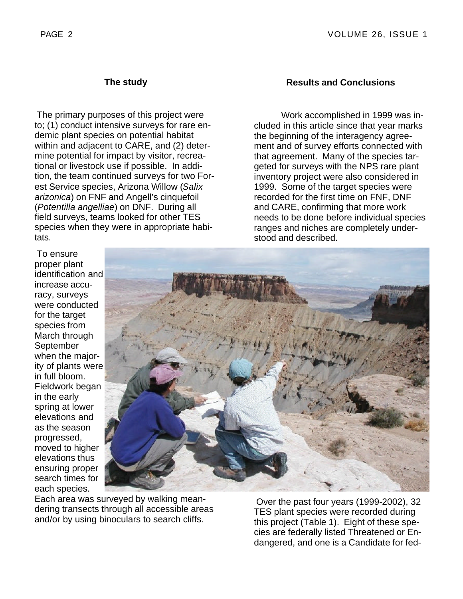## **The study**

The primary purposes of this project were to; (1) conduct intensive surveys for rare endemic plant species on potential habitat within and adjacent to CARE, and (2) determine potential for impact by visitor, recreational or livestock use if possible. In addition, the team continued surveys for two Forest Service species, Arizona Willow (*Salix arizonica*) on FNF and Angell's cinquefoil (*Potentilla angelliae*) on DNF. During all field surveys, teams looked for other TES species when they were in appropriate habitats.

## **Results and Conclusions**

Work accomplished in 1999 was included in this article since that year marks the beginning of the interagency agreement and of survey efforts connected with that agreement. Many of the species targeted for surveys with the NPS rare plant inventory project were also considered in 1999. Some of the target species were recorded for the first time on FNF, DNF and CARE, confirming that more work needs to be done before individual species ranges and niches are completely understood and described.

To ensure proper plant identification and increase accuracy, surveys were conducted for the target species from March through September when the majority of plants were in full bloom. Fieldwork began in the early spring at lower elevations and as the season progressed, moved to higher elevations thus ensuring proper search times for each species.



Each area was surveyed by walking meandering transects through all accessible areas and/or by using binoculars to search cliffs.

Over the past four years (1999-2002), 32 TES plant species were recorded during this project (Table 1). Eight of these species are federally listed Threatened or Endangered, and one is a Candidate for fed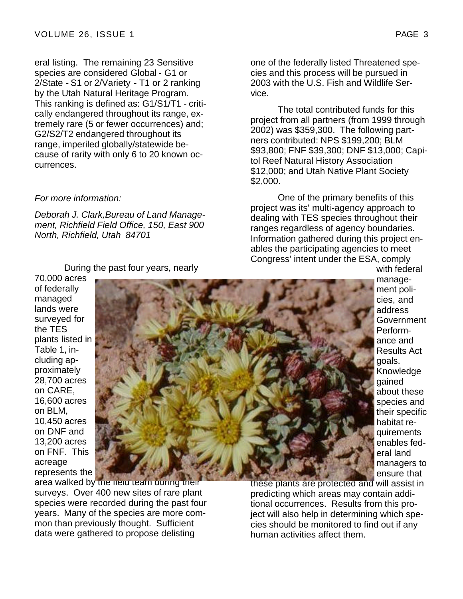eral listing. The remaining 23 Sensitive species are considered Global - G1 or 2/State - S1 or 2/Variety - T1 or 2 ranking by the Utah Natural Heritage Program. This ranking is defined as: G1/S1/T1 - critically endangered throughout its range, extremely rare (5 or fewer occurrences) and; G2/S2/T2 endangered throughout its range, imperiled globally/statewide because of rarity with only 6 to 20 known occurrences.

#### *For more information:*

*Deborah J. Clark,Bureau of Land Management, Richfield Field Office, 150, East 900 North, Richfield, Utah 84701*

During the past four years, nearly

70,000 acres of federally managed lands were surveyed for the TES plants listed in Table 1, including approximately 28,700 acres on CARE, 16,600 acres on BLM, 10,450 acres on DNF and 13,200 acres on FNF. This acreage represents the



area walked by the field team during their surveys. Over 400 new sites of rare plant species were recorded during the past four years. Many of the species are more common than previously thought. Sufficient data were gathered to propose delisting

these plants are protected and will assist in predicting which areas may contain additional occurrences. Results from this project will also help in determining which species should be monitored to find out if any human activities affect them.

one of the federally listed Threatened species and this process will be pursued in 2003 with the U.S. Fish and Wildlife Service.

The total contributed funds for this project from all partners (from 1999 through 2002) was \$359,300. The following partners contributed: NPS \$199,200; BLM \$93,800; FNF \$39,300; DNF \$13,000; Capitol Reef Natural History Association \$12,000; and Utah Native Plant Society \$2,000.

One of the primary benefits of this project was its' multi-agency approach to dealing with TES species throughout their ranges regardless of agency boundaries. Information gathered during this project enables the participating agencies to meet Congress' intent under the ESA, comply with federal

management policies, and address **Government** Performance and Results Act goals. Knowledge gained about these species and their specific habitat requirements enables federal land managers to ensure that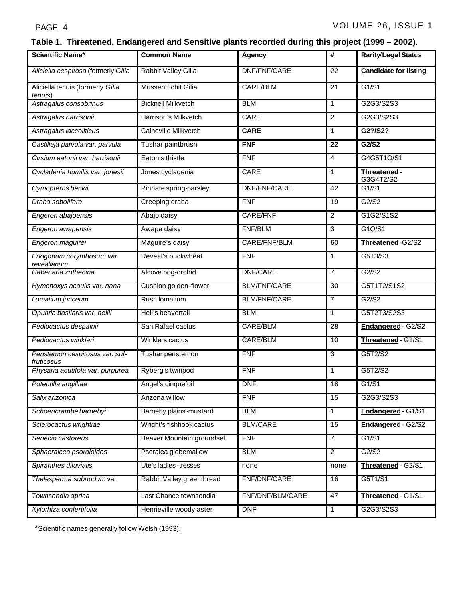## **Table 1. Threatened, Endangered and Sensitive plants recorded during this project (1999 – 2002).**

| <b>Scientific Name*</b>                      | <b>Common Name</b>        | <b>Agency</b>       | #              | <b>Rarity/Legal Status</b>   |
|----------------------------------------------|---------------------------|---------------------|----------------|------------------------------|
| Aliciella cespitosa (formerly Gilia          | Rabbit Valley Gilia       | DNF/FNF/CARE        | 22             | <b>Candidate for listing</b> |
| Aliciella tenuis (formerly Gilia<br>tenuis)  | Mussentuchit Gilia        | CARE/BLM            | 21             | G1/S1                        |
| Astragalus consobrinus                       | <b>Bicknell Milkvetch</b> | <b>BLM</b>          | $\mathbf{1}$   | G2G3/S2S3                    |
| Astragalus harrisonii                        | Harrison's Milkvetch      | CARE                | $\overline{2}$ | G2G3/S2S3                    |
| Astragalus laccoliticus                      | Caineville Milkvetch      | <b>CARE</b>         | $\mathbf{1}$   | G2?/S2?                      |
| Castilleja parvula var. parvula              | Tushar paintbrush         | <b>FNF</b>          | 22             | G2/S2                        |
| Cirsium eatonii var. harrisonii              | Eaton's thistle           | FNF                 | $\overline{4}$ | G4G5T1Q/S1                   |
| Cycladenia humilis var. jonesii              | Jones cycladenia          | <b>CARE</b>         | 1              | Threatened -<br>G3G4T2/S2    |
| Cymopterus beckii                            | Pinnate spring-parsley    | DNF/FNF/CARE        | 42             | G1/S1                        |
| Draba sobolifera                             | Creeping draba            | <b>FNF</b>          | 19             | G2/S2                        |
| Erigeron abajoensis                          | Abajo daisy               | CARE/FNF            | $\overline{c}$ | G1G2/S1S2                    |
| Erigeron awapensis                           | Awapa daisy               | FNF/BLM             | 3              | G1Q/S1                       |
| Erigeron maguirei                            | Maguire's daisy           | CARE/FNF/BLM        | 60             | Threatened-G2/S2             |
| Eriogonum corymbosum var.<br>revealianum     | Reveal's buckwheat        | <b>FNF</b>          | $\mathbf{1}$   | G5T3/S3                      |
| Habenaria zothecina                          | Alcove bog-orchid         | <b>DNF/CARE</b>     | $\overline{7}$ | G2/S2                        |
| Hymenoxys acaulis var. nana                  | Cushion golden-flower     | <b>BLM/FNF/CARE</b> | 30             | G5T1T2/S1S2                  |
| Lomatium junceum                             | Rush Iomatium             | <b>BLM/FNF/CARE</b> | $\overline{7}$ | G2/S2                        |
| Opuntia basilaris var. heilii                | Heil's beavertail         | <b>BLM</b>          | $\mathbf{1}$   | G5T2T3/S2S3                  |
| Pediocactus despainii                        | San Rafael cactus         | CARE/BLM            | 28             | Endangered - G2/S2           |
| Pediocactus winkleri                         | Winklers cactus           | <b>CARE/BLM</b>     | 10             | Threatened - G1/S1           |
| Penstemon cespitosus var. suf-<br>fruticosus | Tushar penstemon          | <b>FNF</b>          | 3              | G5T2/S2                      |
| Physaria acutifola var. purpurea             | Ryberg's twinpod          | <b>FNF</b>          | 1              | G5T2/S2                      |
| Potentilla angilliae                         | Angel's cinquefoil        | <b>DNF</b>          | 18             | G1/S1                        |
| Salix arizonica                              | Arizona willow            | <b>FNF</b>          | 15             | G2G3/S2S3                    |
| Schoencrambe barnebyi                        | Barneby plains-mustard    | <b>BLM</b>          | $\mathbf{1}$   | Endangered - G1/S1           |
| Sclerocactus wrightiae                       | Wright's fishhook cactus  | <b>BLM/CARE</b>     | 15             | Endangered - G2/S2           |
| Senecio castoreus                            | Beaver Mountain groundsel | <b>FNF</b>          | $\overline{7}$ | G1/S1                        |
| Sphaeralcea psoraloides                      | Psoralea globemallow      | <b>BLM</b>          | $\overline{2}$ | G2/S2                        |
| Spiranthes diluvialis                        | Ute's ladies-tresses      | none                | none           | Threatened - G2/S1           |
| Thelesperma subnudum var.                    | Rabbit Valley greenthread | FNF/DNF/CARE        | 16             | G5T1/S1                      |
| Townsendia aprica                            | Last Chance townsendia    | FNF/DNF/BLM/CARE    | 47             | Threatened - G1/S1           |
| Xylorhiza confertifolia                      | Henrieville woody-aster   | <b>DNF</b>          | $\mathbf{1}$   | G2G3/S2S3                    |

\*Scientific names generally follow Welsh (1993).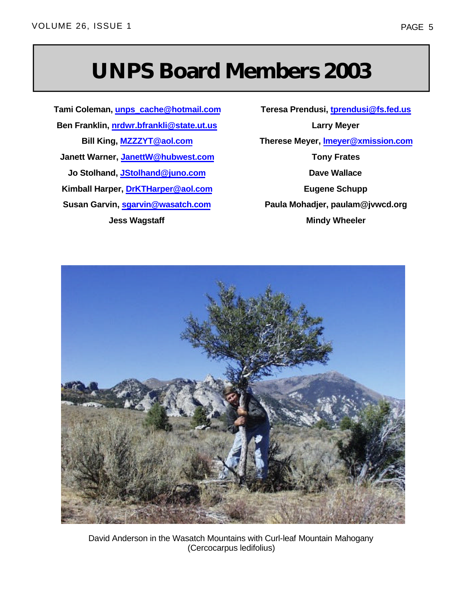## **UNPS Board Members 2003**

**Tami Coleman, unps\_cache@hotmail.com Ben Franklin, nrdwr.bfrankli@state.ut.us Bill King, MZZZYT@aol.com Janett Warner, JanettW@hubwest.com Jo Stolhand, JStolhand@juno.com Kimball Harper, DrKTHarper@aol.com Susan Garvin, sgarvin@wasatch.com Jess Wagstaff**

**Teresa Prendusi, tprendusi@fs.fed.us Larry Meyer Therese Meyer, lmeyer@xmission.com Tony Frates Dave Wallace Eugene Schupp Paula Mohadjer, paulam@jvwcd.org Mindy Wheeler**



David Anderson in the Wasatch Mountains with Curl-leaf Mountain Mahogany (Cercocarpus ledifolius)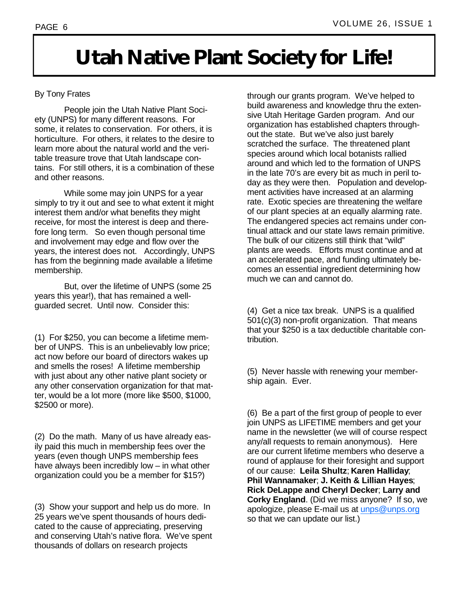## **Utah Native Plant Society for Life!**

### By Tony Frates

 People join the Utah Native Plant Society (UNPS) for many different reasons. For some, it relates to conservation. For others, it is horticulture. For others, it relates to the desire to learn more about the natural world and the veritable treasure trove that Utah landscape contains. For still others, it is a combination of these and other reasons.

 While some may join UNPS for a year simply to try it out and see to what extent it might interest them and/or what benefits they might receive, for most the interest is deep and therefore long term. So even though personal time and involvement may edge and flow over the years, the interest does not. Accordingly, UNPS has from the beginning made available a lifetime membership.

 But, over the lifetime of UNPS (some 25 years this year!), that has remained a wellguarded secret. Until now. Consider this:

(1) For \$250, you can become a lifetime member of UNPS. This is an unbelievably low price; act now before our board of directors wakes up and smells the roses! A lifetime membership with just about any other native plant society or any other conservation organization for that matter, would be a lot more (more like \$500, \$1000, \$2500 or more).

(2) Do the math. Many of us have already easily paid this much in membership fees over the years (even though UNPS membership fees have always been incredibly low – in what other organization could you be a member for \$15?)

(3) Show your support and help us do more. In 25 years we've spent thousands of hours dedicated to the cause of appreciating, preserving and conserving Utah's native flora. We've spent thousands of dollars on research projects

through our grants program. We've helped to build awareness and knowledge thru the extensive Utah Heritage Garden program. And our organization has established chapters throughout the state. But we've also just barely scratched the surface. The threatened plant species around which local botanists rallied around and which led to the formation of UNPS in the late 70's are every bit as much in peril today as they were then. Population and development activities have increased at an alarming rate. Exotic species are threatening the welfare of our plant species at an equally alarming rate. The endangered species act remains under continual attack and our state laws remain primitive. The bulk of our citizens still think that "wild" plants are weeds. Efforts must continue and at an accelerated pace, and funding ultimately becomes an essential ingredient determining how much we can and cannot do.

(4) Get a nice tax break. UNPS is a qualified 501(c)(3) non-profit organization. That means that your \$250 is a tax deductible charitable contribution.

(5) Never hassle with renewing your membership again. Ever.

(6) Be a part of the first group of people to ever join UNPS as LIFETIME members and get your name in the newsletter (we will of course respect any/all requests to remain anonymous). Here are our current lifetime members who deserve a round of applause for their foresight and support of our cause: **Leila Shultz**; **Karen Halliday**; **Phil Wannamaker**; **J. Keith & Lillian Hayes**; **Rick DeLappe and Cheryl Decker**; **Larry and Corky England**. (Did we miss anyone? If so, we apologize, please E-mail us at unps@unps.org so that we can update our list.)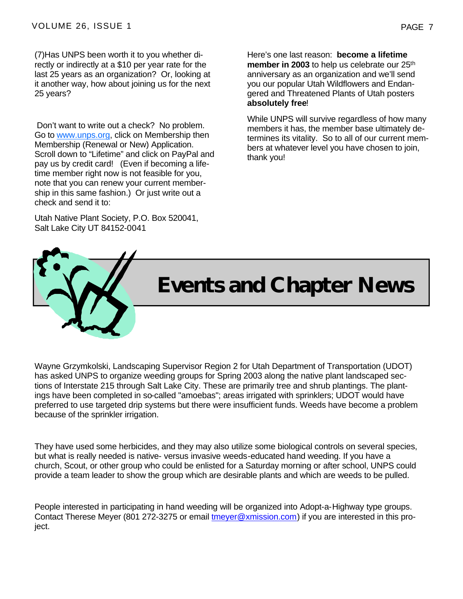(7)Has UNPS been worth it to you whether directly or indirectly at a \$10 per year rate for the last 25 years as an organization? Or, looking at it another way, how about joining us for the next 25 years?

 Don't want to write out a check? No problem. Go to www.unps.org, click on Membership then Membership (Renewal or New) Application. Scroll down to "Lifetime" and click on PayPal and pay us by credit card! (Even if becoming a lifetime member right now is not feasible for you, note that you can renew your current membership in this same fashion.) Or just write out a check and send it to:

Utah Native Plant Society, P.O. Box 520041, Salt Lake City UT 84152-0041

Here's one last reason: **become a lifetime member in 2003** to help us celebrate our 25<sup>th</sup> anniversary as an organization and we'll send you our popular Utah Wildflowers and Endangered and Threatened Plants of Utah posters **absolutely free**!

While UNPS will survive regardless of how many members it has, the member base ultimately determines its vitality. So to all of our current members at whatever level you have chosen to join, thank you!

# **Events and Chapter News**

Wayne Grzymkolski, Landscaping Supervisor Region 2 for Utah Department of Transportation (UDOT) has asked UNPS to organize weeding groups for Spring 2003 along the native plant landscaped sections of Interstate 215 through Salt Lake City. These are primarily tree and shrub plantings. The plantings have been completed in so-called "amoebas"; areas irrigated with sprinklers; UDOT would have preferred to use targeted drip systems but there were insufficient funds. Weeds have become a problem because of the sprinkler irrigation.

They have used some herbicides, and they may also utilize some biological controls on several species, but what is really needed is native- versus invasive weeds-educated hand weeding. If you have a church, Scout, or other group who could be enlisted for a Saturday morning or after school, UNPS could provide a team leader to show the group which are desirable plants and which are weeds to be pulled.

People interested in participating in hand weeding will be organized into Adopt-a-Highway type groups. Contact Therese Meyer (801 272-3275 or email tmeyer@xmission.com) if you are interested in this project.